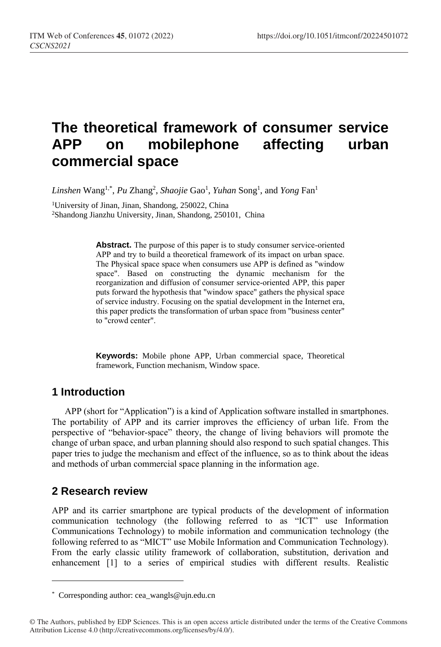# **The theoretical framework of consumer service APP on mobilephone affecting urban commercial space**

Linshen Wang<sup>1,\*</sup>, Pu Zhang<sup>2</sup>, Shaojie Gao<sup>1</sup>, Yuhan Song<sup>1</sup>, and *Yong* Fan<sup>1</sup>

<sup>1</sup>University of Jinan, Jinan, Shandong, 250022, China <sup>2</sup>Shandong Jianzhu University, Jinan, Shandong, 250101, China

> **Abstract.** The purpose of this paper is to study consumer service-oriented APP and try to build a theoretical framework of its impact on urban space. The Physical space space when consumers use APP is defined as "window space". Based on constructing the dynamic mechanism for the reorganization and diffusion of consumer service-oriented APP, this paper puts forward the hypothesis that "window space" gathers the physical space of service industry. Focusing on the spatial development in the Internet era, this paper predicts the transformation of urban space from "business center" to "crowd center".

> **Keywords:** Mobile phone APP, Urban commercial space, Theoretical framework, Function mechanism, Window space.

## **1 Introduction**

APP (short for "Application") is a kind of Application software installed in smartphones. The portability of APP and its carrier improves the efficiency of urban life. From the perspective of "behavior-space" theory, the change of living behaviors will promote the change of urban space, and urban planning should also respond to such spatial changes. This paper tries to judge the mechanism and effect of the influence, so as to think about the ideas and methods of urban commercial space planning in the information age.

# **2 Research review**

 $\overline{a}$ 

APP and its carrier smartphone are typical products of the development of information communication technology (the following referred to as "ICT" use Information Communications Technology) to mobile information and communication technology (the following referred to as "MICT" use Mobile Information and Communication Technology). From the early classic utility framework of collaboration, substitution, derivation and enhancement [1] to a series of empirical studies with different results. Realistic

<sup>\*</sup> Corresponding author[: cea\\_wangls@ujn.edu.cn](mailto:cea_wangls@ujn.edu.cn)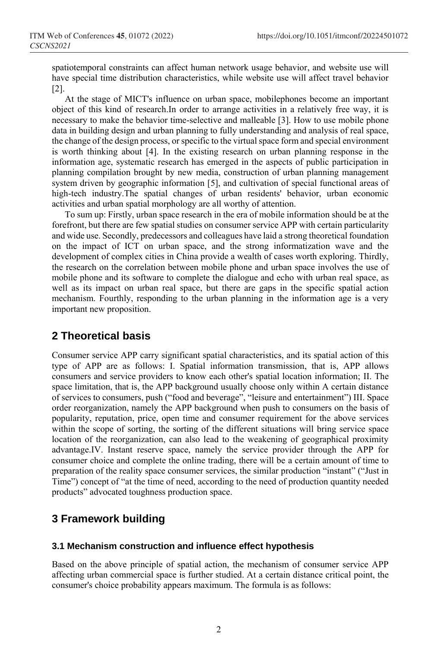spatiotemporal constraints can affect human network usage behavior, and website use will have special time distribution characteristics, while website use will affect travel behavior [2].

At the stage of MICT's influence on urban space, mobilephones become an important object of this kind of research.In order to arrange activities in a relatively free way, it is necessary to make the behavior time-selective and malleable [3]. How to use mobile phone data in building design and urban planning to fully understanding and analysis of real space, the change of the design process, or specific to the virtual space form and special environment is worth thinking about [4]. In the existing research on urban planning response in the information age, systematic research has emerged in the aspects of public participation in planning compilation brought by new media, construction of urban planning management system driven by geographic information [5], and cultivation of special functional areas of high-tech industry.The spatial changes of urban residents' behavior, urban economic activities and urban spatial morphology are all worthy of attention.

To sum up: Firstly, urban space research in the era of mobile information should be at the forefront, but there are few spatial studies on consumer service APP with certain particularity and wide use. Secondly, predecessors and colleagues have laid a strong theoretical foundation on the impact of ICT on urban space, and the strong informatization wave and the development of complex cities in China provide a wealth of cases worth exploring. Thirdly, the research on the correlation between mobile phone and urban space involves the use of mobile phone and its software to complete the dialogue and echo with urban real space, as well as its impact on urban real space, but there are gaps in the specific spatial action mechanism. Fourthly, responding to the urban planning in the information age is a very important new proposition.

## **2 Theoretical basis**

Consumer service APP carry significant spatial characteristics, and its spatial action of this type of APP are as follows: I. Spatial information transmission, that is, APP allows consumers and service providers to know each other's spatial location information; II. The space limitation, that is, the APP background usually choose only within A certain distance of services to consumers, push ("food and beverage", "[leisure](javascript:;) [and](javascript:;) [entertainment](javascript:;)") III. Space order reorganization, namely the APP background when push to consumers on the basis of popularity, reputation, price, open time and consumer requirement for the above services within the scope of sorting, the sorting of the different situations will bring service space location of the reorganization, can also lead to the weakening of geographical proximity advantage.IV. Instant reserve space, namely the service provider through the APP for consumer choice and complete the online trading, there will be a certain amount of time to preparation of the reality space consumer services, the similar production "instant" ("Just in Time") concept of "at the time of need, according to the need of production quantity needed products" advocated toughness production space.

# **3 Framework building**

#### **3.1 Mechanism construction and influence effect hypothesis**

Based on the above principle of spatial action, the mechanism of consumer service APP affecting urban commercial space is further studied. At a certain distance critical point, the consumer's choice probability appears maximum. The formula is as follows: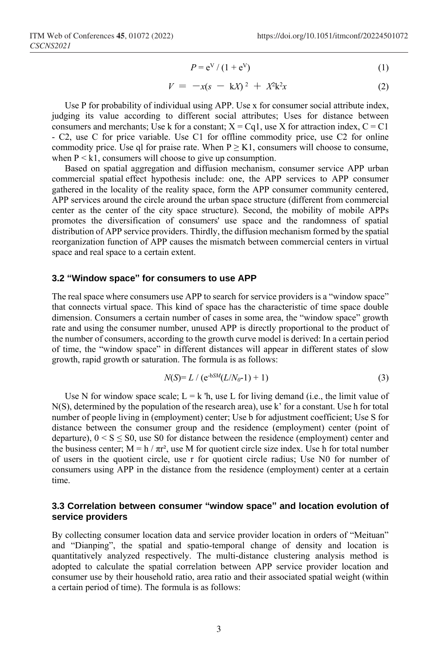$$
P = e^V / (1 + e^V) \tag{1}
$$

$$
V = -x(s - kX)^2 + X^2k^2x \tag{2}
$$

Use P for probability of individual using APP. Use x for consumer social attribute index, judging its value according to different social attributes; Uses for distance between consumers and merchants; Use k for a constant;  $X = Cq1$ , use X for attraction index,  $C = C1$ - C2, use C for price variable. Use C1 for offline commodity price, use C2 for online commodity price. Use ql for praise rate. When  $P \geq K1$ , consumers will choose to consume, when  $P \le k_1$ , consumers will choose to give up consumption.

Based on spatial aggregation and diffusion mechanism, consumer service APP urban commercial spatial effect hypothesis include: one, the APP services to APP consumer gathered in the locality of the reality space, form the APP consumer community centered, APP services around the circle around the urban space structure (different from commercial center as the center of the city space structure). Second, the mobility of mobile APPs promotes the diversification of consumers' use space and the randomness of spatial distribution of APP service providers. Thirdly, the diffusion mechanism formed by the spatial reorganization function of APP causes the mismatch between commercial centers in virtual space and real space to a certain extent.

#### **3.2 "Window space" for consumers to use APP**

The real space where consumers use APP to search for service providers is a "window space" that connects virtual space. This kind of space has the characteristic of time space double dimension. Consumers a certain number of cases in some area, the "window space" growth rate and using the consumer number, unused APP is directly proportional to the product of the number of consumers, according to the growth curve model is derived: In a certain period of time, the "window space" in different distances will appear in different states of slow growth, rapid growth or saturation. The formula is as follows:

$$
N(S) = L / (e^{-bSM}(L/N_0 - 1) + 1)
$$
\n(3)

Use N for window space scale;  $L = k$  'h, use L for living demand (i.e., the limit value of N(S), determined by the population of the research area), use k' for a constant. Use h for total number of people living in (employment) center; Use b for adjustment coefficient; Use S for distance between the consumer group and the residence (employment) center (point of departure),  $0 < S \leq S$ 0, use S0 for distance between the residence (employment) center and the business center;  $M = h / \pi r^2$ , use M for quotient circle size index. Use h for total number of users in the quotient circle, use r for quotient circle radius; Use N0 for number of consumers using APP in the distance from the residence (employment) center at a certain time.

#### **3.3 Correlation between consumer "window space" and location evolution of service providers**

By collecting consumer location data and service provider location in orders of "Meituan" and "Dianping", the spatial and spatio-temporal change of density and location is quantitatively analyzed respectively. The multi-distance clustering analysis method is adopted to calculate the spatial correlation between APP service provider location and consumer use by their household ratio, area ratio and their associated spatial weight (within a certain period of time). The formula is as follows: